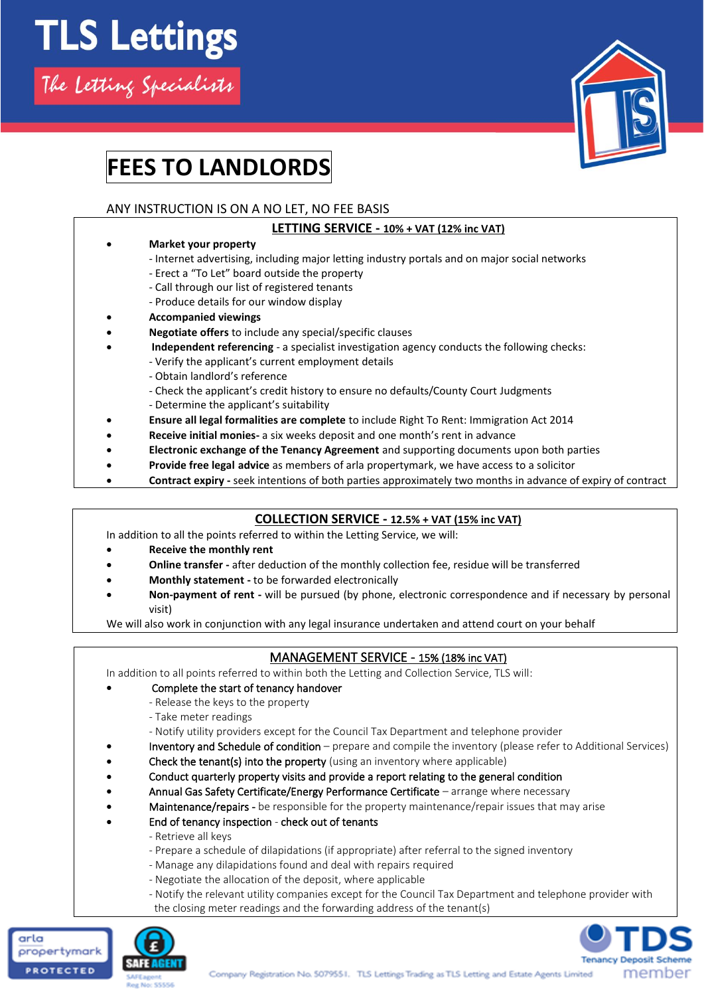

# **FEES TO LANDLORDS**

## ANY INSTRUCTION IS ON A NO LET, NO FEE BASIS

### **LETTING SERVICE - 10% + VAT (12% inc VAT)**

- **Market your property**
	- Internet advertising, including major letting industry portals and on major social networks
	- Erect a "To Let" board outside the property
	- Call through our list of registered tenants
	- Produce details for our window display
- **Accompanied viewings**
- **Negotiate offers** to include any special/specific clauses
	- **Independent referencing**  a specialist investigation agency conducts the following checks:
		- Verify the applicant's current employment details
			- Obtain landlord's reference
			- Check the applicant's credit history to ensure no defaults/County Court Judgments
			- Determine the applicant's suitability
- **Ensure all legal formalities are complete** to include Right To Rent: Immigration Act 2014
- **Receive initial monies-** a six weeks deposit and one month's rent in advance
- **Electronic exchange of the Tenancy Agreement** and supporting documents upon both parties
- **Provide free legal advice** as members of arla propertymark, we have access to a solicitor
- **Contract expiry -** seek intentions of both parties approximately two months in advance of expiry of contract

## **COLLECTION SERVICE - 12.5% + VAT (15% inc VAT)**

In addition to all the points referred to within the Letting Service, we will:

- **Receive the monthly rent**
- **Online transfer -** after deduction of the monthly collection fee, residue will be transferred
- **Monthly statement -** to be forwarded electronically
- **Non-payment of rent -** will be pursued (by phone, electronic correspondence and if necessary by personal visit)

We will also work in conjunction with any legal insurance undertaken and attend court on your behalf

# MANAGEMENT SERVICE - 15% (18% inc VAT)

In addition to all points referred to within both the Letting and Collection Service, TLS will:

- Complete the start of tenancy handover
	- Release the keys to the property
	- Take meter readings

- Notify utility providers except for the Council Tax Department and telephone provider

- Inventory and Schedule of condition prepare and compile the inventory (please refer to Additional Services)
- Check the tenant(s) into the property (using an inventory where applicable)
- Conduct quarterly property visits and provide a report relating to the general condition
- Annual Gas Safety Certificate/Energy Performance Certificate arrange where necessary
- Maintenance/repairs be responsible for the property maintenance/repair issues that may arise
- End of tenancy inspection check out of tenants
	- Retrieve all keys
	- Prepare a schedule of dilapidations (if appropriate) after referral to the signed inventory
	- Manage any dilapidations found and deal with repairs required
	- Negotiate the allocation of the deposit, where applicable
	- Notify the relevant utility companies except for the Council Tax Department and telephone provider with the closing meter readings and the forwarding address of the tenant(s)